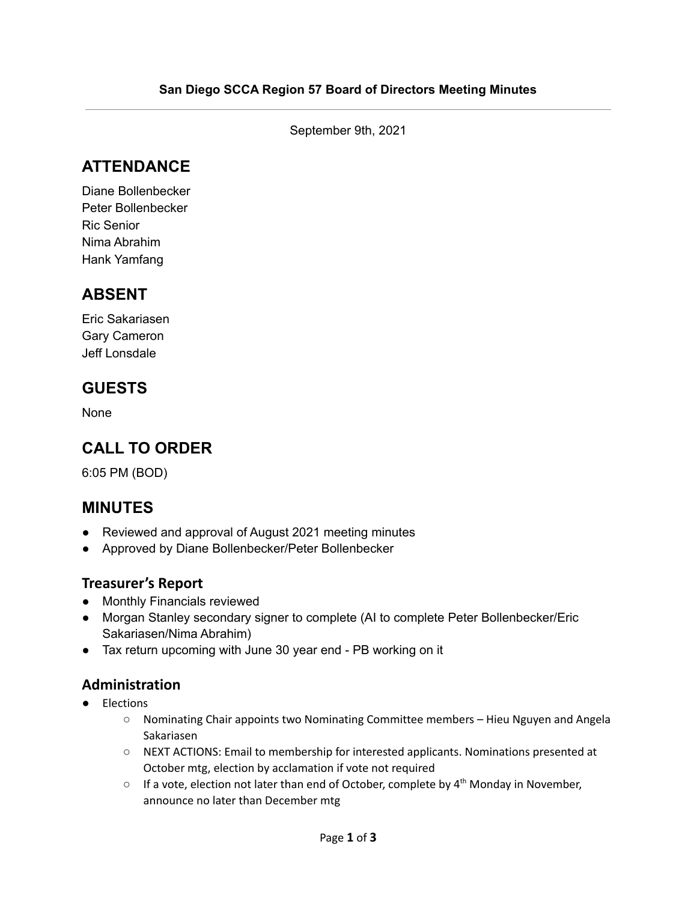September 9th, 2021

## **ATTENDANCE**

Diane Bollenbecker Peter Bollenbecker Ric Senior Nima Abrahim Hank Yamfang

# **ABSENT**

Eric Sakariasen Gary Cameron Jeff Lonsdale

### **GUESTS**

None

# **CALL TO ORDER**

6:05 PM (BOD)

### **MINUTES**

- Reviewed and approval of August 2021 meeting minutes
- Approved by Diane Bollenbecker/Peter Bollenbecker

#### **Treasurer's Report**

- Monthly Financials reviewed
- Morgan Stanley secondary signer to complete (AI to complete Peter Bollenbecker/Eric Sakariasen/Nima Abrahim)
- Tax return upcoming with June 30 year end PB working on it

#### **Administration**

- Elections
	- Nominating Chair appoints two Nominating Committee members Hieu Nguyen and Angela Sakariasen
	- NEXT ACTIONS: Email to membership for interested applicants. Nominations presented at October mtg, election by acclamation if vote not required
	- $\circ$  If a vote, election not later than end of October, complete by  $4^{th}$  Monday in November, announce no later than December mtg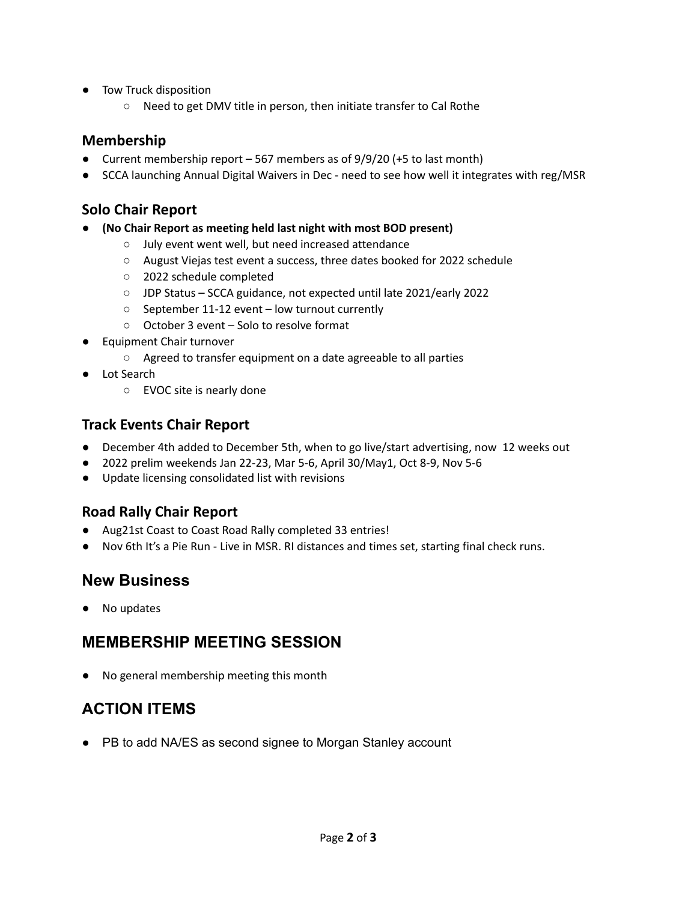- Tow Truck disposition
	- Need to get DMV title in person, then initiate transfer to Cal Rothe

#### **Membership**

- Current membership report  $-567$  members as of  $9/9/20$  (+5 to last month)
- SCCA launching Annual Digital Waivers in Dec need to see how well it integrates with reg/MSR

#### **Solo Chair Report**

- **● (No Chair Report as meeting held last night with most BOD present)**
	- July event went well, but need increased attendance
	- August Viejas test event a success, three dates booked for 2022 schedule
	- 2022 schedule completed
	- JDP Status SCCA guidance, not expected until late 2021/early 2022
	- September 11-12 event low turnout currently
	- October 3 event Solo to resolve format
- **Equipment Chair turnover** 
	- Agreed to transfer equipment on a date agreeable to all parties
- Lot Search
	- EVOC site is nearly done

#### **Track Events Chair Report**

- December 4th added to December 5th, when to go live/start advertising, now 12 weeks out
- 2022 prelim weekends Jan 22-23, Mar 5-6, April 30/May1, Oct 8-9, Nov 5-6
- Update licensing consolidated list with revisions

#### **Road Rally Chair Report**

- Aug21st Coast to Coast Road Rally completed 33 entries!
- Nov 6th It's a Pie Run Live in MSR. RI distances and times set, starting final check runs.

### **New Business**

● No updates

### **MEMBERSHIP MEETING SESSION**

No general membership meeting this month

# **ACTION ITEMS**

● PB to add NA/ES as second signee to Morgan Stanley account